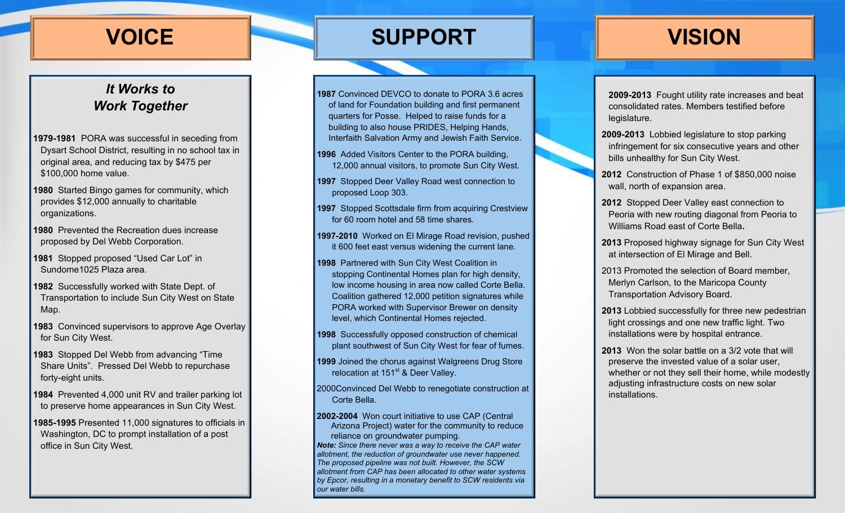### *It Works to Work Together*

- **1979-1981** PORA was successful in seceding from Dysart School District, resulting in no school tax in original area, and reducing tax by \$475 per \$100,000 home value.
- **1980** Started Bingo games for community, which provides \$12,000 annually to charitable organizations.
- **1980** Prevented the Recreation dues increase proposed by Del Webb Corporation.
- **1981** Stopped proposed "Used Car Lot" in Sundome1025 Plaza area.
- **1982** Successfully worked with State Dept. of Transportation to include Sun City West on State Map.
- **1983** Convinced supervisors to approve Age Overlay for Sun City West.
- **1983** Stopped Del Webb from advancing "Time Share Units". Pressed Del Webb to repurchase forty-eight units.
- **1984** Prevented 4,000 unit RV and trailer parking lot to preserve home appearances in Sun City West.
- **1985-1995** Presented 11,000 signatures to officials in Washington, DC to prompt installation of a post office in Sun City West.

## **VOICE SUPPORT VISION**

**1987** Convinced DEVCO to donate to PORA 3.6 acres of land for Foundation building and first permanent quarters for Posse. Helped to raise funds for a building to also house PRIDES, Helping Hands, Interfaith Salvation Army and Jewish Faith Service.

- **1996** Added Visitors Center to the PORA building, 12,000 annual visitors, to promote Sun City West.
- **1997** Stopped Deer Valley Road west connection to proposed Loop 303.
- **1997** Stopped Scottsdale firm from acquiring Crestview for 60 room hotel and 58 time shares.
- **1997-2010** Worked on El Mirage Road revision, pushed it 600 feet east versus widening the current lane.
- **1998** Partnered with Sun City West Coalition in stopping Continental Homes plan for high density, low income housing in area now called Corte Bella. Coalition gathered 12,000 petition signatures while PORA worked with Supervisor Brewer on density level, which Continental Homes rejected.
- **1998** Successfully opposed construction of chemical plant southwest of Sun City West for fear of fumes.
- **1999** Joined the chorus against Walgreens Drug Store relocation at  $151<sup>st</sup>$  & Deer Valley.
- 2000Convinced Del Webb to renegotiate construction at Corte Bella.
- **2002-2004** Won court initiative to use CAP (Central Arizona Project) water for the community to reduce reliance on groundwater pumping.

*Note: Since there never was a way to receive the CAP water allotment, the reduction of groundwater use never happened. The proposed pipeline was not built. However, the SCW allotment from CAP has been allocated to other water systems by Epcor, resulting in a monetary benefit to SCW residents via our water bills.* 

**2009-2013** Fought utility rate increases and beat consolidated rates. Members testified before legislature.

- **2009-2013** Lobbied legislature to stop parking infringement for six consecutive years and other bills unhealthy for Sun City West.
- **2012** Construction of Phase 1 of \$850,000 noise wall, north of expansion area.
- **2012** Stopped Deer Valley east connection to Peoria with new routing diagonal from Peoria to Williams Road east of Corte Bella**.**
- **2013** Proposed highway signage for Sun City West at intersection of El Mirage and Bell.
- 2013 Promoted the selection of Board member, Merlyn Carlson, to the Maricopa County Transportation Advisory Board.
- **2013** Lobbied successfully for three new pedestrian light crossings and one new traffic light. Two installations were by hospital entrance.
- **2013** Won the solar battle on a 3/2 vote that will preserve the invested value of a solar user, whether or not they sell their home, while modestly adjusting infrastructure costs on new solar installations.